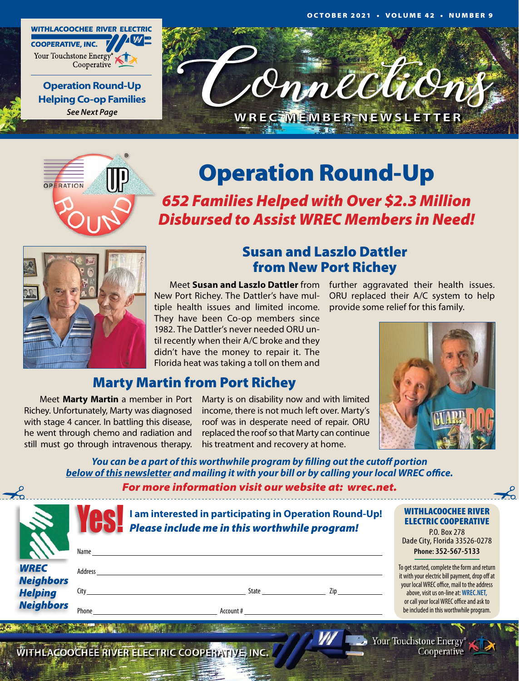





# Operation Round-Up

*652 Families Helped with Over \$2.3 Million Disbursed to Assist WREC Members in Need!*



## Susan and Laszlo Dattler from New Port Richey

New Port Richey. The Dattler's have multiple health issues and limited income. They have been Co-op members since 1982. The Dattler's never needed ORU until recently when their A/C broke and they didn't have the money to repair it. The Florida heat was taking a toll on them and

Meet Susan and Laszlo Dattler from further aggravated their health issues. ORU replaced their A/C system to help provide some relief for this family.



## Marty Martin from Port Richey

Richey. Unfortunately, Marty was diagnosed with stage 4 cancer. In battling this disease, he went through chemo and radiation and still must go through intravenous therapy.

Meet Marty Martin a member in Port Marty is on disability now and with limited income, there is not much left over. Marty's roof was in desperate need of repair. ORU replaced the roof so that Marty can continue his treatment and recovery at home.

*You can be a part of this worthwhile program by filling out the cutoff portion below of this newsletter and mailing it with your bill or by calling your local WREC office.*

*For more information visit our website at: wrec.net.*

|                                                        | Name          | I am interested in participating in Operation Round-Up!<br>Please include me in this worthwhile program! | <b>WITHLACOOCHEE RIVER</b><br><b>ELECTRIC COOPERATIVE</b><br>P.O. Box 278<br>Dade City, Florida 33526-0278<br>Phone: 352-567-5133                                            |
|--------------------------------------------------------|---------------|----------------------------------------------------------------------------------------------------------|------------------------------------------------------------------------------------------------------------------------------------------------------------------------------|
| <b>WREC</b>                                            | Address       |                                                                                                          | To get started, complete the form and return<br>it with your electric bill payment, drop off at                                                                              |
| <b>Neighbors</b><br><b>Helping</b><br><b>Neighbors</b> | City<br>Phone | State<br>Zip<br>Account #                                                                                | your local WREC office, mail to the address<br>above, visit us on-line at: WREC.NET,<br>or call your local WREC office and ask to<br>be included in this worthwhile program. |

WITHLACOOCHEE RIVER ELECTRIC COOPERATIVE, INC.

Your Touchstone Energy® Cooperative